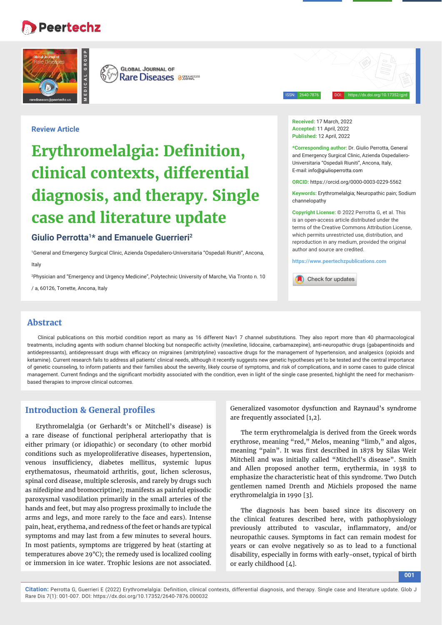# **Peertechz**



**GLOBAL JOURNAL OF Rare Diseases a SBERACCESS** 

ISSN: 2640-7876 DOI: https://dx.doi.org/10.17352/gjrd

**Review Article**

# **Erythromelalgia: Definition, clinical contexts, differential diagnosis, and therapy. Single case and literature update**

## **Giulio Perrotta1\* and Emanuele Guerrieri2**

1 General and Emergency Surgical Clinic, Azienda Ospedaliero-Universitaria "Ospedali Riuniti", Ancona,

Italy

2 Physician and "Emergency and Urgency Medicine", Polytechnic University of Marche, Via Tronto n. 10

/ a, 60126, Torrette, Ancona, Italy

**Received:** 17 March, 2022 **Accepted:** 11 April, 2022 Published: 12 April, 2022

**\*Corresponding author:** Dr. Giulio Perrotta, General and Emergency Surgical Clinic, Azienda Ospedaliero-Universitaria "Ospedali Riuniti", Ancona, Italy, E-mail: info@giulioperrotta.com

**ORCID:** https://orcid.org/0000-0003-0229-5562

**Keywords:** Erythromelalgia; Neuropathic pain; Sodium channelopathy

**Copyright License:** © 2022 Perrotta G, et al. This is an open-access article distributed under the terms of the Creative Commons Attribution License, which permits unrestricted use, distribution, and reproduction in any medium, provided the original author and source are credited.

**https://www.peertechzpublications.com**

Check for updates

### **Abstract**

Clinical publications on this morbid condition report as many as 16 different Nav1 7 channel substitutions. They also report more than 40 pharmacological treatments, including agents with sodium channel blocking but nonspecific activity (mexiletine, lidocaine, carbamazepine), anti-neuropathic drugs (gabapentinoids and antidepressants), antidepressant drugs with efficacy on migraines (amitriptyline) vasoactive drugs for the management of hypertension, and analgesics (opioids and ketamine). Current research fails to address all patients' clinical needs, although it recently suggests new genetic hypotheses yet to be tested and the central importance of genetic counseling, to inform patients and their families about the severity, likely course of symptoms, and risk of complications, and in some cases to guide clinical management. Current findings and the significant morbidity associated with the condition, even in light of the single case presented, highlight the need for mechanismbased therapies to improve clinical outcomes.

# **Introduction & General profiles**

Erythromelalgia (or Gerhardt's or Mitchell's disease) is a rare disease of functional peripheral arteriopathy that is either primary (or idiopathic) or secondary (to other morbid conditions such as myeloproliferative diseases, hypertension, venous insufficiency, diabetes mellitus, systemic lupus erythematosus, rheumatoid arthritis, gout, lichen sclerosus, spinal cord disease, multiple sclerosis, and rarely by drugs such as nifedipine and bromocriptine); manifests as painful episodic paroxysmal vasodilation primarily in the small arteries of the hands and feet, but may also progress proximally to include the arms and legs, and more rarely to the face and ears). Intense pain, heat, erythema, and redness of the feet or hands are typical symptoms and may last from a few minutes to several hours. In most patients, symptoms are triggered by heat (starting at temperatures above 29°C); the remedy used is localized cooling or immersion in ice water. Trophic lesions are not associated.

Generalized vasomotor dysfunction and Raynaud's syndrome are frequently associated [1,2].

The term erythromelalgia is derived from the Greek words erythrose, meaning "red," Melos, meaning "limb," and algos, meaning "pain". It was first described in 1878 by Silas Weir Mitchell and was initially called "Mitchell's disease". Smith and Allen proposed another term, erythermia, in 1938 to emphasize the characteristic heat of this syndrome. Two Dutch gentlemen named Drenth and Michiels proposed the name erythromelalgia in 1990 [3].

The diagnosis has been based since its discovery on the clinical features described here, with pathophysiology previously attributed to vascular, inflammatory, and/or neuropathic causes. Symptoms in fact can remain modest for years or can evolve negatively so as to lead to a functional disability, especially in forms with early-onset, typical of birth or early childhood [4].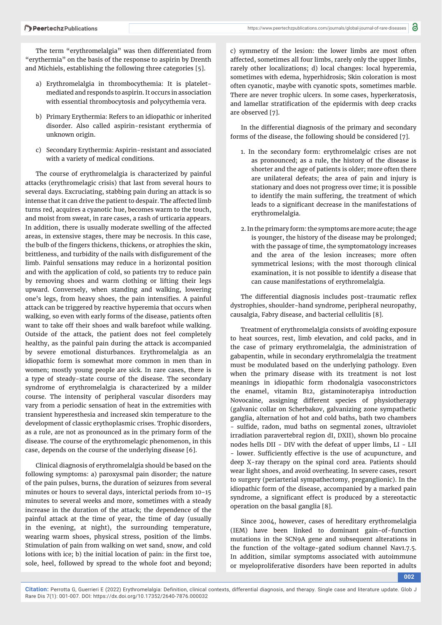The term "erythromelalgia" was then differentiated from "erythermia" on the basis of the response to aspirin by Drenth and Michiels, establishing the following three categories [5].

- a) Erythromelalgia in thrombocythemia: It is plateletmediated and responds to aspirin. It occurs in association with essential thrombocytosis and polycythemia vera.
- b) Primary Erythermia: Refers to an idiopathic or inherited disorder. Also called aspirin-resistant erythermia of unknown origin.
- c) Secondary Erythermia: Aspirin-resistant and associated with a variety of medical conditions.

The course of erythromelalgia is characterized by painful attacks (erythromelagic crisis) that last from several hours to several days. Excruciating, stabbing pain during an attack is so intense that it can drive the patient to despair. The affected limb turns red, acquires a cyanotic hue, becomes warm to the touch, and moist from sweat, in rare cases, a rash of urticaria appears. In addition, there is usually moderate swelling of the affected areas, in extensive stages, there may be necrosis. In this case, the bulb of the fingers thickens, thickens, or atrophies the skin, brittleness, and turbidity of the nails with disfigurement of the limb. Painful sensations may reduce in a horizontal position and with the application of cold, so patients try to reduce pain by removing shoes and warm clothing or lifting their legs upward. Conversely, when standing and walking, lowering one's legs, from heavy shoes, the pain intensifies. A painful attack can be triggered by reactive hyperemia that occurs when walking, so even with early forms of the disease, patients often want to take off their shoes and walk barefoot while walking. Outside of the attack, the patient does not feel completely healthy, as the painful pain during the attack is accompanied by severe emotional disturbances. Erythromelalgia as an idiopathic form is somewhat more common in men than in women; mostly young people are sick. In rare cases, there is a type of steady-state course of the disease. The secondary syndrome of erythromelalgia is characterized by a milder course. The intensity of peripheral vascular disorders may vary from a periodic sensation of heat in the extremities with transient hyperesthesia and increased skin temperature to the development of classic erythoplasmic crises. Trophic disorders, as a rule, are not as pronounced as in the primary form of the disease. The course of the erythromelagic phenomenon, in this case, depends on the course of the underlying disease [6].

Clinical diagnosis of erythromelalgia should be based on the following symptoms: a) paroxysmal pain disorder; the nature of the pain pulses, burns, the duration of seizures from several minutes or hours to several days, interictal periods from 10-15 minutes to several weeks and more, sometimes with a steady increase in the duration of the attack; the dependence of the painful attack at the time of year, the time of day (usually in the evening, at night), the surrounding temperature, wearing warm shoes, physical stress, position of the limbs. Stimulation of pain from walking on wet sand, snow, and cold lotions with ice; b) the initial location of pain: in the first toe, sole, heel, followed by spread to the whole foot and beyond;

c) symmetry of the lesion: the lower limbs are most often affected, sometimes all four limbs, rarely only the upper limbs, rarely other localizations; d) local changes: local hyperemia, sometimes with edema, hyperhidrosis; Skin coloration is most often cyanotic, maybe with cyanotic spots, sometimes marble. There are never trophic ulcers. In some cases, hyperkeratosis, and lamellar stratification of the epidermis with deep cracks are observed [7].

In the differential diagnosis of the primary and secondary forms of the disease, the following should be considered [7].

- 1. In the secondary form: erythromelalgic crises are not as pronounced; as a rule, the history of the disease is shorter and the age of patients is older; more often there are unilateral defeats; the area of pain and injury is stationary and does not progress over time; it is possible to identify the main suffering, the treatment of which leads to a significant decrease in the manifestations of erythromelalgia.
- 2. In the primary form: the symptoms are more acute; the age is younger, the history of the disease may be prolonged; with the passage of time, the symptomatology increases and the area of the lesion increases; more often symmetrical lesions; with the most thorough clinical examination, it is not possible to identify a disease that can cause manifestations of erythromelalgia.

The differential diagnosis includes post-traumatic reflex dystrophies, shoulder-hand syndrome, peripheral neuropathy, causalgia, Fabry disease, and bacterial cellulitis [8].

Treatment of erythromelalgia consists of avoiding exposure to heat sources, rest, limb elevation, and cold packs, and in the case of primary erythromelalgia, the administration of gabapentin, while in secondary erythromelalgia the treatment must be modulated based on the underlying pathology. Even when the primary disease with its treatment is not lost meanings in idiopathic form rhodonalgia vasoconstrictors the enamel, vitamin B12, gistaminoterapiya introduction Novocaine, assigning different species of physiotherapy (galvanic collar on Scherbakov, galvanizing zone sympathetic ganglia, alternation of hot and cold baths, bath two chambers - sulfide, radon, mud baths on segmental zones, ultraviolet irradiation paravertebral region dI, DXII), shown blo procaine nodes hells DII - DIV with the defeat of upper limbs, LI - LII - lower. Sufficiently effective is the use of acupuncture, and deep X-ray therapy on the spinal cord area. Patients should wear light shoes, and avoid overheating. In severe cases, resort to surgery (periarterial sympathectomy, preganglionic). In the idiopathic form of the disease, accompanied by a marked pain syndrome, a significant effect is produced by a stereotactic operation on the basal ganglia [8].

Since 2004, however, cases of hereditary erythromelalgia (IEM) have been linked to dominant gain-of-function mutations in the SCN9A gene and subsequent alterations in the function of the voltage-gated sodium channel Nav1.7.5. In addition, similar symptoms associated with autoimmune or myeloproliferative disorders have been reported in adults

**002**

**Citation:** Perrotta G, Guerrieri E (2022) Erythromelalgia: Definition, clinical contexts, differential diagnosis, and therapy. Single case and literature update. Glob J Rare Dis 7(1): 001-007. DOI: https://dx.doi.org/10.17352/2640-7876.000032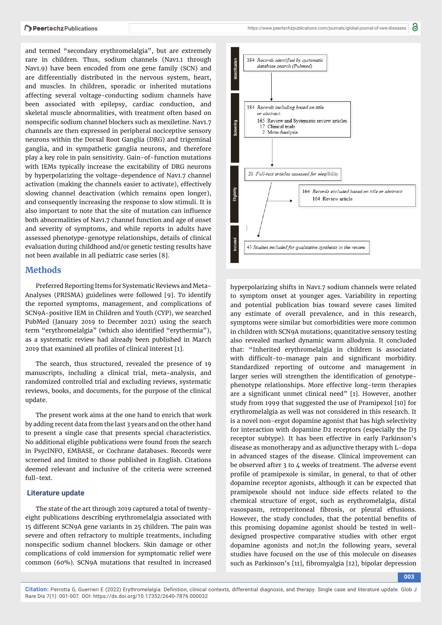and termed "secondary erythromelalgia", but are extremely rare in children. Thus, sodium channels (Nav1.1 through Nav1.9) have been encoded from one gene family (SCN) and are differentially distributed in the nervous system, heart, and muscles. In children, sporadic or inherited mutations affecting several voltage-conducting sodium channels have been associated with epilepsy, cardiac conduction, and skeletal muscle abnormalities, with treatment often based on nonspecific sodium channel blockers such as mexiletine. Nav1.7 channels are then expressed in peripheral nociceptive sensory neurons within the Dorsal Root Ganglia (DRG) and trigeminal ganglia, and in sympathetic ganglia neurons, and therefore play a key role in pain sensitivity. Gain-of-function mutations with IEMs typically increase the excitability of DRG neurons by hyperpolarizing the voltage-dependence of Nav1.7 channel activation (making the channels easier to activate), effectively slowing channel deactivation (which remains open longer), and consequently increasing the response to slow stimuli. It is also important to note that the site of mutation can influence both abnormalities of Nav1.7 channel function and age of onset and severity of symptoms, and while reports in adults have assessed phenotype-genotype relationships, details of clinical evaluation during childhood and/or genetic testing results have not been available in all pediatric case series [8].

#### **Methods**

Preferred Reporting Items for Systematic Reviews and Meta-Analyses (PRISMA) guidelines were followed [9]. To identify the reported symptoms, management, and complications of SCN9A-positive IEM in Children and Youth (CYP), we searched PubMed (January 2019 to December 2021) using the search term "erythromelalgia" (which also identified "erythermia"), as a systematic review had already been published in March 2019 that examined all profiles of clinical interest [1].

The search, thus structured, revealed the presence of 19 manuscripts, including a clinical trial, meta-analysis, and randomized controlled trial and excluding reviews, systematic reviews, books, and documents, for the purpose of the clinical update.

The present work aims at the one hand to enrich that work by adding recent data from the last 3 years and on the other hand to present a single case that presents special characteristics. No additional eligible publications were found from the search in PsycINFO, EMBASE, or Cochrane databases. Records were screened and limited to those published in English. Citations deemed relevant and inclusive of the criteria were screened full-text.

#### **Literature update**

The state of the art through 2019 captured a total of twentyeight publications describing erythromelalgia associated with 15 different SCN9A gene variants in 25 children. The pain was severe and often refractory to multiple treatments, including nonspecific sodium channel blockers. Skin damage or other complications of cold immersion for symptomatic relief were common (60%). SCN9A mutations that resulted in increased



hyperpolarizing shifts in Nav1.7 sodium channels were related to symptom onset at younger ages. Variability in reporting and potential publication bias toward severe cases limited any estimate of overall prevalence, and in this research, symptoms were similar but comorbidities were more common in children with SCN9A mutations; quantitative sensory testing also revealed marked dynamic warm allodynia. It concluded that: "Inherited erythromelalgia in children is associated with difficult-to-manage pain and significant morbidity. Standardized reporting of outcome and management in larger series will strengthen the identification of genotypephenotype relationships. More effective long-term therapies are a significant unmet clinical need" [1]. However, another study from 1999 that suggested the use of Pramipexol [10] for erythromelalgia as well was not considered in this research. It is a novel non-ergot dopamine agonist that has high selectivity for interaction with dopamine D2 receptors (especially the D3 receptor subtype). It has been effective in early Parkinson's disease as monotherapy and as adjunctive therapy with L-dopa in advanced stages of the disease. Clinical improvement can be observed after 3 to 4 weeks of treatment. The adverse event profile of pramipexole is similar, in general, to that of other dopamine receptor agonists, although it can be expected that pramipexole should not induce side effects related to the chemical structure of ergot, such as erythromelalgia, distal vasospasm, retroperitoneal fibrosis, or pleural effusions. However, the study concludes, that the potential benefits of this promising dopamine agonist should be tested in welldesigned prospective comparative studies with other ergot dopamine agonists and not;In the following years, several studies have focused on the use of this molecule on diseases such as Parkinson's [11], fibromyalgia [12], bipolar depression

**Citation:** Perrotta G, Guerrieri E (2022) Erythromelalgia: Definition, clinical contexts, differential diagnosis, and therapy. Single case and literature update. Glob J Rare Dis 7(1): 001-007. DOI: https://dx.doi.org/10.17352/2640-7876.000032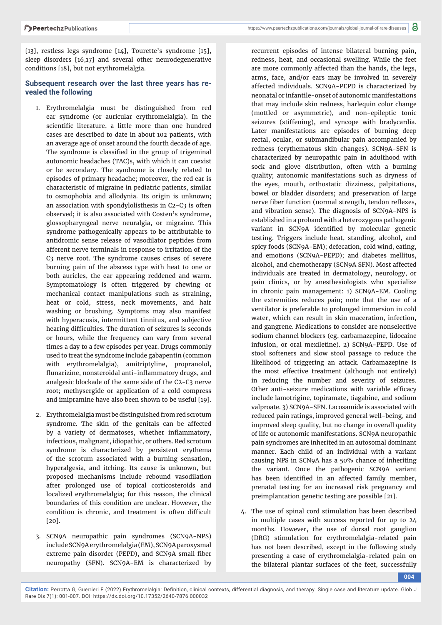[13], restless legs syndrome [14], Tourette's syndrome [15], sleep disorders [16,17] and several other neurodegenerative conditions [18], but not erythromelalgia.

#### **Subsequent research over the last three years has revealed the following**

- 1. Erythromelalgia must be distinguished from red ear syndrome (or auricular erythromelalgia). In the scientific literature, a little more than one hundred cases are described to date in about 102 patients, with an average age of onset around the fourth decade of age. The syndrome is classified in the group of trigeminal autonomic headaches (TAC)s, with which it can coexist or be secondary. The syndrome is closely related to episodes of primary headache; moreover, the red ear is characteristic of migraine in pediatric patients, similar to osmophobia and allodynia. Its origin is unknown; an association with spondylolisthesis in C2-C3 is often observed; it is also associated with Costen's syndrome, glossopharyngeal nerve neuralgia, or migraine. This syndrome pathogenically appears to be attributable to antidromic sense release of vasodilator peptides from afferent nerve terminals in response to irritation of the C3 nerve root. The syndrome causes crises of severe burning pain of the abscess type with heat to one or both auricles, the ear appearing reddened and warm. Symptomatology is often triggered by chewing or mechanical contact manipulations such as straining, heat or cold, stress, neck movements, and hair washing or brushing. Symptoms may also manifest with hyperacusis, intermittent tinnitus, and subjective hearing difficulties. The duration of seizures is seconds or hours, while the frequency can vary from several times a day to a few episodes per year. Drugs commonly used to treat the syndrome include gabapentin (common with erythromelalgia), amitriptyline, propranolol, flunarizine, nonsteroidal anti-inflammatory drugs, and analgesic blockade of the same side of the C2-C3 nerve root; methysergide or application of a cold compress and imipramine have also been shown to be useful [19].
- 2. Erythromelalgia must be distinguished from red scrotum syndrome. The skin of the genitals can be affected by a variety of dermatoses, whether inflammatory, infectious, malignant, idiopathic, or others. Red scrotum syndrome is characterized by persistent erythema of the scrotum associated with a burning sensation, hyperalgesia, and itching. Its cause is unknown, but proposed mechanisms include rebound vasodilation after prolonged use of topical corticosteroids and localized erythromelalgia; for this reason, the clinical boundaries of this condition are unclear. However, the condition is chronic, and treatment is often difficult [20].
- 3. SCN9A neuropathic pain syndromes (SCN9A-NPS) include SCN9A erythromelalgia (EM), SCN9A paroxysmal extreme pain disorder (PEPD), and SCN9A small fiber neuropathy (SFN). SCN9A-EM is characterized by

recurrent episodes of intense bilateral burning pain, redness, heat, and occasional swelling. While the feet are more commonly affected than the hands, the legs, arms, face, and/or ears may be involved in severely affected individuals. SCN9A-PEPD is characterized by neonatal or infantile-onset of autonomic manifestations that may include skin redness, harlequin color change (mottled or asymmetric), and non-epileptic tonic seizures (stiffening), and syncope with bradycardia. Later manifestations are episodes of burning deep rectal, ocular, or submandibular pain accompanied by redness (erythematous skin changes). SCN9A-SFN is characterized by neuropathic pain in adulthood with sock and glove distribution, often with a burning quality; autonomic manifestations such as dryness of the eyes, mouth, orthostatic dizziness, palpitations, bowel or bladder disorders; and preservation of large nerve fiber function (normal strength, tendon reflexes, and vibration sense). The diagnosis of SCN9A-NPS is established in a proband with a heterozygous pathogenic variant in SCN9A identified by molecular genetic testing. Triggers include heat, standing, alcohol, and spicy foods (SCN9A-EM); defecation, cold wind, eating, and emotions (SCN9A-PEPD); and diabetes mellitus, alcohol, and chemotherapy (SCN9A SFN). Most affected individuals are treated in dermatology, neurology, or pain clinics, or by anesthesiologists who specialize in chronic pain management: 1) SCN9A-EM. Cooling the extremities reduces pain; note that the use of a ventilator is preferable to prolonged immersion in cold water, which can result in skin maceration, infection, and gangrene. Medications to consider are nonselective sodium channel blockers (eg, carbamazepine, lidocaine infusion, or oral mexiletine). 2) SCN9A-PEPD. Use of stool softeners and slow stool passage to reduce the likelihood of triggering an attack. Carbamazepine is the most effective treatment (although not entirely) in reducing the number and severity of seizures. Other anti-seizure medications with variable efficacy include lamotrigine, topiramate, tiagabine, and sodium valproate. 3) SCN9A-SFN. Lacosamide is associated with reduced pain ratings, improved general well-being, and improved sleep quality, but no change in overall quality of life or autonomic manifestations. SCN9A neuropathic pain syndromes are inherited in an autosomal dominant manner. Each child of an individual with a variant causing NPS in SCN9A has a 50% chance of inheriting the variant. Once the pathogenic SCN9A variant has been identified in an affected family member, prenatal testing for an increased risk pregnancy and preimplantation genetic testing are possible [21].

4. The use of spinal cord stimulation has been described in multiple cases with success reported for up to 24 months. However, the use of dorsal root ganglion (DRG) stimulation for erythromelalgia-related pain has not been described, except in the following study presenting a case of erythromelalgia-related pain on the bilateral plantar surfaces of the feet, successfully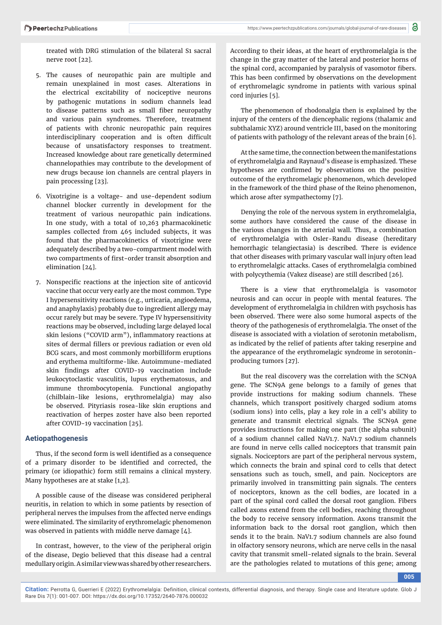treated with DRG stimulation of the bilateral S1 sacral nerve root [22].

- 5. The causes of neuropathic pain are multiple and remain unexplained in most cases. Alterations in the electrical excitability of nociceptive neurons by pathogenic mutations in sodium channels lead to disease patterns such as small fiber neuropathy and various pain syndromes. Therefore, treatment of patients with chronic neuropathic pain requires interdisciplinary cooperation and is often difficult because of unsatisfactory responses to treatment. Increased knowledge about rare genetically determined channelopathies may contribute to the development of new drugs because ion channels are central players in pain processing [23].
- 6. Vixotrigine is a voltage- and use-dependent sodium channel blocker currently in development for the treatment of various neuropathic pain indications. In one study, with a total of 10,263 pharmacokinetic samples collected from 465 included subjects, it was found that the pharmacokinetics of vixotrigine were adequately described by a two-compartment model with two compartments of first-order transit absorption and elimination [24].
- 7. Nonspecific reactions at the injection site of anticovid vaccine that occur very early are the most common. Type I hypersensitivity reactions (e.g., urticaria, angioedema, and anaphylaxis) probably due to ingredient allergy may occur rarely but may be severe. Type IV hypersensitivity reactions may be observed, including large delayed local skin lesions ("COVID arm"), inflammatory reactions at sites of dermal fillers or previous radiation or even old BCG scars, and most commonly morbilliform eruptions and erythema multiforme-like. Autoimmune-mediated skin findings after COVID-19 vaccination include leukocytoclastic vasculitis, lupus erythematosus, and immune thrombocytopenia. Functional angiopathy (chilblain-like lesions, erythromelalgia) may also be observed. Pityriasis rosea-like skin eruptions and reactivation of herpes zoster have also been reported after COVID-19 vaccination [25].

#### **Aetiopathogenesis**

Thus, if the second form is well identified as a consequence of a primary disorder to be identified and corrected, the primary (or idiopathic) form still remains a clinical mystery. Many hypotheses are at stake [1,2].

A possible cause of the disease was considered peripheral neuritis, in relation to which in some patients by resection of peripheral nerves the impulses from the affected nerve endings were eliminated. The similarity of erythromelagic phenomenon was observed in patients with middle nerve damage [4].

In contrast, however, to the view of the peripheral origin of the disease, Degio believed that this disease had a central medullary origin. A similar view was shared by other researchers.

According to their ideas, at the heart of erythromelalgia is the change in the gray matter of the lateral and posterior horns of the spinal cord, accompanied by paralysis of vasomotor fibers. This has been confirmed by observations on the development of erythromelagic syndrome in patients with various spinal cord injuries [5].

The phenomenon of rhodonalgia then is explained by the injury of the centers of the diencephalic regions (thalamic and subthalamic XYZ) around ventricle III, based on the monitoring of patients with pathology of the relevant areas of the brain [6].

At the same time, the connection between the manifestations of erythromelalgia and Raynaud's disease is emphasized. These hypotheses are confirmed by observations on the positive outcome of the erythromelagic phenomenon, which developed in the framework of the third phase of the Reino phenomenon, which arose after sympathectomy [7].

Denying the role of the nervous system in erythromelalgia, some authors have considered the cause of the disease in the various changes in the arterial wall. Thus, a combination of erythromelalgia with Osler-Randu disease (hereditary hemorrhagic telangiectasia) is described. There is evidence that other diseases with primary vascular wall injury often lead to erythromelalgic attacks. Cases of erythromelalgia combined with polycythemia (Vakez disease) are still described [26].

There is a view that erythromelalgia is vasomotor neurosis and can occur in people with mental features. The development of erythromelalgia in children with psychosis has been observed. There were also some humoral aspects of the theory of the pathogenesis of erythromelalgia. The onset of the disease is associated with a violation of serotonin metabolism, as indicated by the relief of patients after taking reserpine and the appearance of the erythromelagic syndrome in serotoninproducing tumors [27].

But the real discovery was the correlation with the SCN9A gene. The SCN9A gene belongs to a family of genes that provide instructions for making sodium channels. These channels, which transport positively charged sodium atoms (sodium ions) into cells, play a key role in a cell's ability to generate and transmit electrical signals. The SCN9A gene provides instructions for making one part (the alpha subunit) of a sodium channel called NaV1.7. NaV1.7 sodium channels are found in nerve cells called nociceptors that transmit pain signals. Nociceptors are part of the peripheral nervous system, which connects the brain and spinal cord to cells that detect sensations such as touch, smell, and pain. Nociceptors are primarily involved in transmitting pain signals. The centers of nociceptors, known as the cell bodies, are located in a part of the spinal cord called the dorsal root ganglion. Fibers called axons extend from the cell bodies, reaching throughout the body to receive sensory information. Axons transmit the information back to the dorsal root ganglion, which then sends it to the brain. NaV1.7 sodium channels are also found in olfactory sensory neurons, which are nerve cells in the nasal cavity that transmit smell-related signals to the brain. Several are the pathologies related to mutations of this gene; among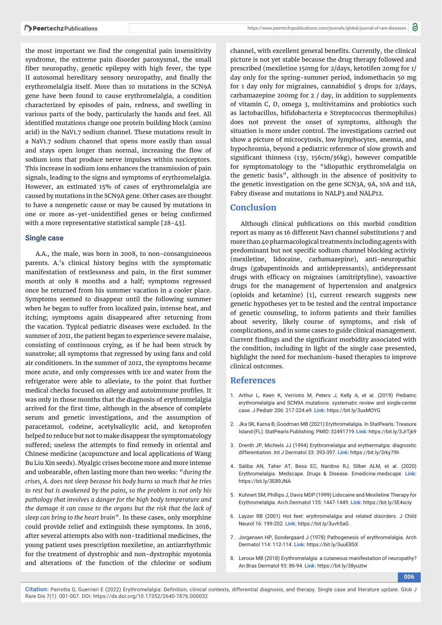the most important we find the congenital pain insensitivity syndrome, the extreme pain disorder paroxysmal, the small fiber neuropathy, genetic epilepsy with high fever, the type II autosomal hereditary sensory neuropathy, and finally the erythromelalgia itself. More than 10 mutations in the SCN9A gene have been found to cause erythromelalgia, a condition characterized by episodes of pain, redness, and swelling in various parts of the body, particularly the hands and feet. All identified mutations change one protein building block (amino acid) in the NaV1.7 sodium channel. These mutations result in a NaV1.7 sodium channel that opens more easily than usual and stays open longer than normal, increasing the flow of sodium ions that produce nerve impulses within nociceptors. This increase in sodium ions enhances the transmission of pain signals, leading to the signs and symptoms of erythromelalgia. However, an estimated 15% of cases of erythromelalgia are caused by mutations in the SCN9A gene. Other cases are thought to have a nongenetic cause or may be caused by mutations in one or more as-yet-unidentified genes or being confirmed with a more representative statistical sample [28-43].

#### **Single case**

A.A., the male, was born in 2008, to non-consanguineous parents. A.'s clinical history begins with the symptomatic manifestation of restlessness and pain, in the first summer month at only 8 months and a half; symptoms regressed once he returned from his summer vacation in a cooler place. Symptoms seemed to disappear until the following summer when he began to suffer from localized pain, intense heat, and itching; symptoms again disappeared after returning from the vacation. Typical pediatric diseases were excluded. In the summer of 2011, the patient began to experience severe malaise, consisting of continuous crying, as if he had been struck by sunstroke; all symptoms that regressed by using fans and cold air conditioners. In the summer of 2012, the symptoms became more acute, and only compresses with ice and water from the refrigerator were able to alleviate, to the point that further medical checks focused on allergy and autoimmune profiles. It was only in those months that the diagnosis of erythromelalgia arrived for the first time, although in the absence of complete serum and genetic investigations, and the assumption of paracetamol, codeine, acetylsalicylic acid, and ketoprofen helped to reduce but not to make disappear the symptomatology suffered; useless the attempts to find remedy in oriental and Chinese medicine (acupuncture and local applications of Wang Bu Liu Xin seeds). Myalgic crises become more and more intense and unbearable, often lasting more than two weeks: "*during the crises, A. does not sleep because his body burns so much that he tries to rest but is awakened by the pains, so the problem is not only his pathology that involves a danger for the high body temperature and the damage it can cause to the organs but the risk that the lack of sleep can bring to the heart brain*". In these cases, only morphine could provide relief and extinguish these symptoms. In 2016, after several attempts also with non-traditional medicines, the young patient uses prescription mexiletine, an antiarrhythmic for the treatment of dystrophic and non-dystrophic myotonia and alterations of the function of the chlorine or sodium

channel, with excellent general benefits. Currently, the clinical picture is not yet stable because the drug therapy followed and prescribed (mexiletine 150mg for 2/days, ketotifen 20mg for 1/ day only for the spring-summer period, indomethacin 50 mg for 1 day only for migraines, cannabidiol 5 drops for 2/days, carbamazepine 200mg for 2 / day, in addition to supplements of vitamin C, D, omega 3, multivitamins and probiotics such as lactobacillus, bifidobacteria e Streptococcus thermophilus) does not prevent the onset of symptoms, although the situation is more under control. The investigations carried out show a picture of microcytosis, low lymphocytes, anemia, and hypochromia, beyond a pediatric reference of slow growth and significant thinness (13y, 156cm/36kg), however compatible for symptomatology to the "idiopathic erythromelalgia on the genetic basis", although in the absence of positivity to the genetic investigation on the gene SCN3A, 9A, 10A and 11A, Fabry disease and mutations in NALP3 and NALP12.

#### **Conclusion**

Although clinical publications on this morbid condition report as many as 16 different Nav1 channel substitutions 7 and more than 40 pharmacological treatments including agents with predominant but not specific sodium channel blocking activity (mexiletine, lidocaine, carbamazepine), anti-neuropathic drugs (gabapentinoids and antidepressants), antidepressant drugs with efficacy on migraines (amitriptyline), vasoactive drugs for the management of hypertension and analgesics (opioids and ketamine) [1], current research suggests new genetic hypotheses yet to be tested and the central importance of genetic counseling, to inform patients and their families about severity, likely course of symptoms, and risk of complications, and in some cases to guide clinical management. Current findings and the significant morbidity associated with the condition, including in light of the single case presented, highlight the need for mechanism-based therapies to improve clinical outcomes.

#### **References**

- 1. Arthur L, Keen K, Verriotis M, Peters J, Kelly A, et al. (2019) Pediatric erythromelalgia and SCN9A mutations: systematic review and single-center case. J Pediatr 206: 217-224.e9. **Link:** https://bit.ly/3uxMOYG
- 2. Jka SK, Karna B, Goodman MB (2021) Erythromelalgia. In StatPearls. Treasure Island (FL): StatPearls Publishing. PMID: 32491719. **Link:** https://bit.ly/3JrTjk9
- 3. Drenth JP, Michiels JJ (1994) Erythromelalgia and erythermalgia: diagnostic differentiation. Int J Dermatol 33: 393-397. **Link:** https://bit.ly/3rky79h
- 4. Saliba AN, Taher AT, Besa EC, Nardino RJ, Silber ALM, et al. (2020) Erythromelalgia. Medscape. Drugs & Disease. Emedicine.medscape. **Link:** https://bit.ly/3E89JNA
- 5. Kuhnert SM, Phillips J, Davis MDP (1999) Lidocaine and Mexiletine Therapy for Erythromelalgia. Arch Dermatol 135: 1447-1449. **Link:** https://bit.ly/3E4xciy
- 6. Layzer RB (2001) Hot feet: erythromelalgia and related disorders. J Child Neurol 16: 199-202. **Link:** https://bit.ly/3uvh5aG .
- 7. Jorgensen HP, Sondergaard J (1978) Pathogenesis of erythromelalgia. Arch Dermatol 114: 112-114. **Link:** https://bit.ly/3uuE8SX
- 8. Leroux MB (2018) Erythromelalgia: a cutaneous manifestation of neuropathy? An Bras Dermatol 93: 86-94. **Link:** https://bit.ly/38yuztw